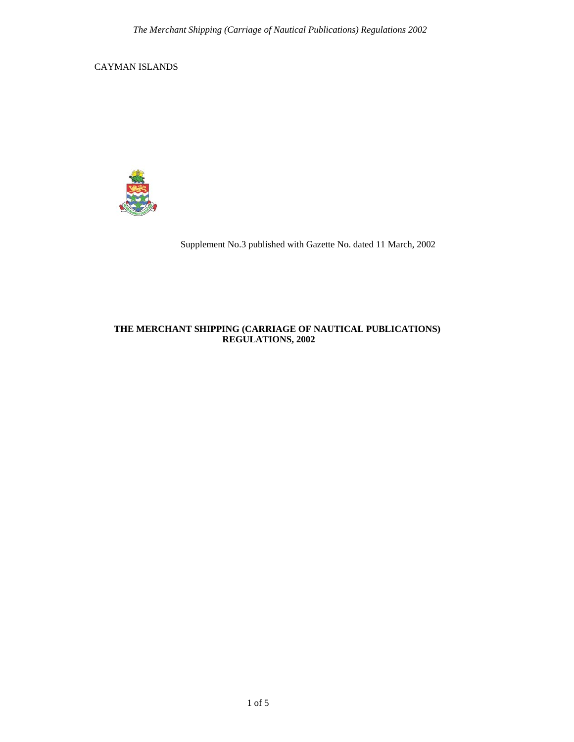CAYMAN ISLANDS



Supplement No.3 published with Gazette No. dated 11 March, 2002

# **THE MERCHANT SHIPPING (CARRIAGE OF NAUTICAL PUBLICATIONS) REGULATIONS, 2002**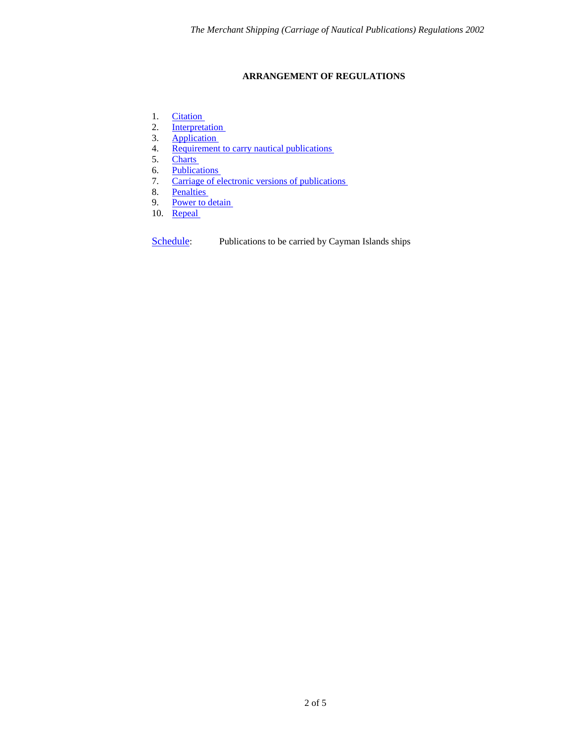# **ARRANGEMENT OF REGULATIONS**

- <span id="page-1-0"></span>1. [Citation](#page-2-0)
- 2. Interpretation<br>3. Application
- Application
- 4. Requirement to carry nautical publications
- 5. [Charts](#page-3-0)
- 6. Publications<br>7. Carriage of el
- 7. Carriage of electronic versions of publications<br>8. Penalties
- Penalties
- 9. Power to detain
- 10. Repeal

[Schedule](#page-4-0): Publications to be carried by Cayman Islands ships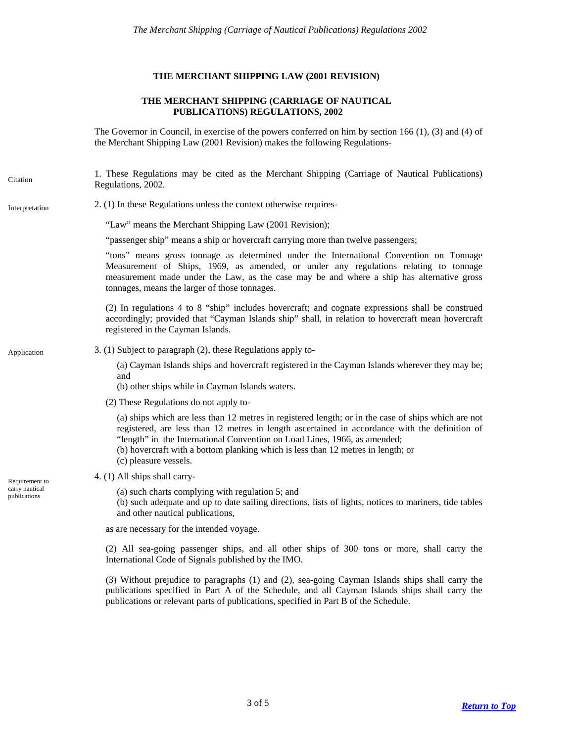## **THE MERCHANT SHIPPING LAW (2001 REVISION)**

## **THE MERCHANT SHIPPING (CARRIAGE OF NAUTICAL PUBLICATIONS) REGULATIONS, 2002**

The Governor in Council, in exercise of the powers conferred on him by section 166 (1), (3) and (4) of the Merchant Shipping Law (2001 Revision) makes the following Regulations-

<span id="page-2-0"></span>1. These Regulations may be cited as the Merchant Shipping (Carriage of Nautical Publications) Regulations, 2002. Citation

## <span id="page-2-1"></span>Interpretation 2. (1) In these Regulations unless the context otherwise requires-

"Law" means the Merchant Shipping Law (2001 Revision);

"passenger ship" means a ship or hovercraft carrying more than twelve passengers;

"tons" means gross tonnage as determined under the International Convention on Tonnage Measurement of Ships, 1969, as amended, or under any regulations relating to tonnage measurement made under the Law, as the case may be and where a ship has alternative gross tonnages, means the larger of those tonnages.

(2) In regulations 4 to 8 "ship" includes hovercraft; and cognate expressions shall be construed accordingly; provided that "Cayman Islands ship" shall, in relation to hovercraft mean hovercraft registered in the Cayman Islands.

# <span id="page-2-2"></span>Application 3. (1) Subject to paragraph (2), these Regulations apply to-

(a) Cayman Islands ships and hovercraft registered in the Cayman Islands wherever they may be; and

(b) other ships while in Cayman Islands waters.

(2) These Regulations do not apply to-

(a) ships which are less than 12 metres in registered length; or in the case of ships which are not registered, are less than 12 metres in length ascertained in accordance with the definition of "length" in the International Convention on Load Lines, 1966, as amended;

- (b) hovercraft with a bottom planking which is less than 12 metres in length; or
- (c) pleasure vessels.
- <span id="page-2-3"></span>Requirement to  $4. (1)$  All ships shall carry-
- early nautical (a) such charts complying with regulation 5; and publications

(b) such adequate and up to date sailing directions, lists of lights, notices to mariners, tide tables and other nautical publications,

as are necessary for the intended voyage.

(2) All sea-going passenger ships, and all other ships of 300 tons or more, shall carry the International Code of Signals published by the IMO.

(3) Without prejudice to paragraphs (1) and (2), sea-going Cayman Islands ships shall carry the publications specified in Part A of the Schedule, and all Cayman Islands ships shall carry the publications or relevant parts of publications, specified in Part B of the Schedule.

carry nautical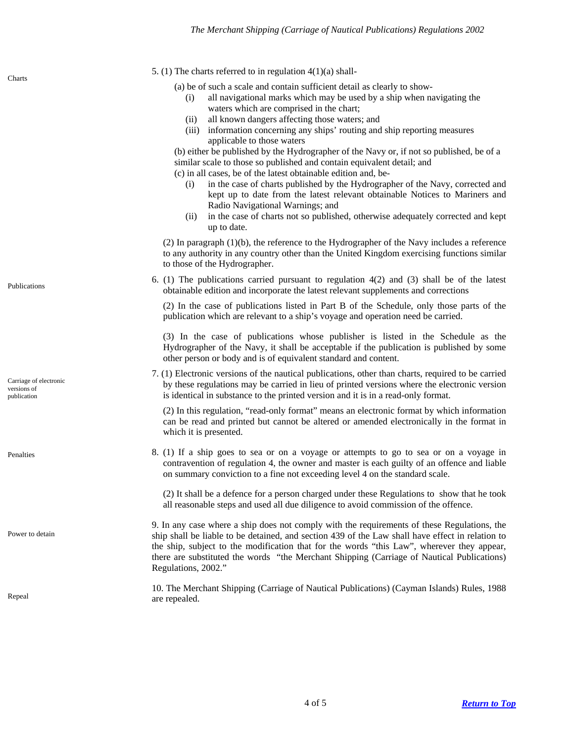(i) all navigational marks which may be used by a ship when navigating the

(a) be of such a scale and contain sufficient detail as clearly to show-

waters which are comprised in the chart;

<span id="page-3-5"></span><span id="page-3-4"></span><span id="page-3-3"></span><span id="page-3-2"></span><span id="page-3-1"></span>

|                                                                      | (ii) all known dangers affecting those waters; and<br>information concerning any ships' routing and ship reporting measures<br>(iii)<br>applicable to those waters<br>(b) either be published by the Hydrographer of the Navy or, if not so published, be of a<br>similar scale to those so published and contain equivalent detail; and<br>(c) in all cases, be of the latest obtainable edition and, be-<br>in the case of charts published by the Hydrographer of the Navy, corrected and<br>(i)<br>kept up to date from the latest relevant obtainable Notices to Mariners and<br>Radio Navigational Warnings; and<br>in the case of charts not so published, otherwise adequately corrected and kept<br>(ii)<br>up to date. |
|----------------------------------------------------------------------|----------------------------------------------------------------------------------------------------------------------------------------------------------------------------------------------------------------------------------------------------------------------------------------------------------------------------------------------------------------------------------------------------------------------------------------------------------------------------------------------------------------------------------------------------------------------------------------------------------------------------------------------------------------------------------------------------------------------------------|
|                                                                      | $(2)$ In paragraph $(1)(b)$ , the reference to the Hydrographer of the Navy includes a reference<br>to any authority in any country other than the United Kingdom exercising functions similar<br>to those of the Hydrographer.                                                                                                                                                                                                                                                                                                                                                                                                                                                                                                  |
| Publications<br>Carriage of electronic<br>versions of<br>publication | 6. (1) The publications carried pursuant to regulation 4(2) and (3) shall be of the latest<br>obtainable edition and incorporate the latest relevant supplements and corrections                                                                                                                                                                                                                                                                                                                                                                                                                                                                                                                                                 |
|                                                                      | (2) In the case of publications listed in Part B of the Schedule, only those parts of the<br>publication which are relevant to a ship's voyage and operation need be carried.                                                                                                                                                                                                                                                                                                                                                                                                                                                                                                                                                    |
|                                                                      | (3) In the case of publications whose publisher is listed in the Schedule as the<br>Hydrographer of the Navy, it shall be acceptable if the publication is published by some<br>other person or body and is of equivalent standard and content.                                                                                                                                                                                                                                                                                                                                                                                                                                                                                  |
|                                                                      | 7. (1) Electronic versions of the nautical publications, other than charts, required to be carried<br>by these regulations may be carried in lieu of printed versions where the electronic version<br>is identical in substance to the printed version and it is in a read-only format.                                                                                                                                                                                                                                                                                                                                                                                                                                          |
|                                                                      | (2) In this regulation, "read-only format" means an electronic format by which information<br>can be read and printed but cannot be altered or amended electronically in the format in<br>which it is presented.                                                                                                                                                                                                                                                                                                                                                                                                                                                                                                                 |
| Penalties                                                            | 8. (1) If a ship goes to sea or on a voyage or attempts to go to sea or on a voyage in<br>contravention of regulation 4, the owner and master is each guilty of an offence and liable<br>on summary conviction to a fine not exceeding level 4 on the standard scale.                                                                                                                                                                                                                                                                                                                                                                                                                                                            |
|                                                                      | (2) It shall be a defence for a person charged under these Regulations to show that he took<br>all reasonable steps and used all due diligence to avoid commission of the offence.                                                                                                                                                                                                                                                                                                                                                                                                                                                                                                                                               |
| Power to detain                                                      | 9. In any case where a ship does not comply with the requirements of these Regulations, the<br>ship shall be liable to be detained, and section 439 of the Law shall have effect in relation to<br>the ship, subject to the modification that for the words "this Law", wherever they appear,<br>there are substituted the words "the Merchant Shipping (Carriage of Nautical Publications)<br>Regulations, 2002."                                                                                                                                                                                                                                                                                                               |
| Repeal                                                               | 10. The Merchant Shipping (Carriage of Nautical Publications) (Cayman Islands) Rules, 1988<br>are repealed.                                                                                                                                                                                                                                                                                                                                                                                                                                                                                                                                                                                                                      |

<span id="page-3-0"></span>5. (1) The charts referred to in regulation  $4(1)(a)$  shall-